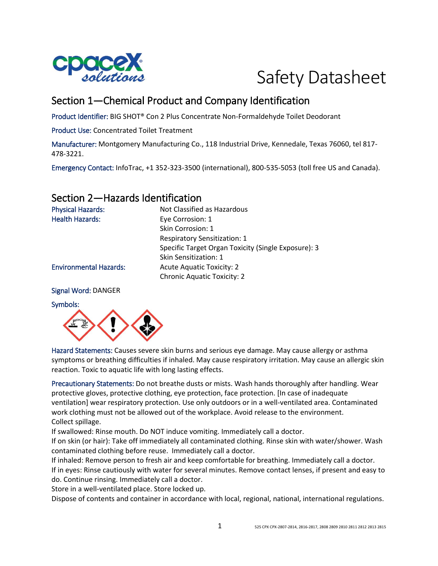

# Safety Datasheet

# Section 1—Chemical Product and Company Identification

Product Identifier: BIG SHOT® Con 2 Plus Concentrate Non-Formaldehyde Toilet Deodorant

Product Use: Concentrated Toilet Treatment

Manufacturer: Montgomery Manufacturing Co., 118 Industrial Drive, Kennedale, Texas 76060, tel 817- 478-3221.

Emergency Contact: InfoTrac, +1 352-323-3500 (international), 800-535-5053 (toll free US and Canada).

### Section 2—Hazards Identification

| <b>Physical Hazards:</b>      | Not Classified as Hazardous                         |
|-------------------------------|-----------------------------------------------------|
| <b>Health Hazards:</b>        | Eye Corrosion: 1                                    |
|                               | Skin Corrosion: 1                                   |
|                               | <b>Respiratory Sensitization: 1</b>                 |
|                               | Specific Target Organ Toxicity (Single Exposure): 3 |
|                               | Skin Sensitization: 1                               |
| <b>Environmental Hazards:</b> | <b>Acute Aquatic Toxicity: 2</b>                    |
|                               | <b>Chronic Aquatic Toxicity: 2</b>                  |
|                               |                                                     |

#### Signal Word: DANGER

#### Symbols:



Hazard Statements: Causes severe skin burns and serious eye damage. May cause allergy or asthma symptoms or breathing difficulties if inhaled. May cause respiratory irritation. May cause an allergic skin reaction. Toxic to aquatic life with long lasting effects.

Precautionary Statements: Do not breathe dusts or mists. Wash hands thoroughly after handling. Wear protective gloves, protective clothing, eye protection, face protection. [In case of inadequate ventilation] wear respiratory protection. Use only outdoors or in a well-ventilated area. Contaminated work clothing must not be allowed out of the workplace. Avoid release to the environment. Collect spillage.

If swallowed: Rinse mouth. Do NOT induce vomiting. Immediately call a doctor.

If on skin (or hair): Take off immediately all contaminated clothing. Rinse skin with water/shower. Wash contaminated clothing before reuse. Immediately call a doctor.

If inhaled: Remove person to fresh air and keep comfortable for breathing. Immediately call a doctor. If in eyes: Rinse cautiously with water for several minutes. Remove contact lenses, if present and easy to do. Continue rinsing. Immediately call a doctor.

Store in a well-ventilated place. Store locked up.

Dispose of contents and container in accordance with local, regional, national, international regulations.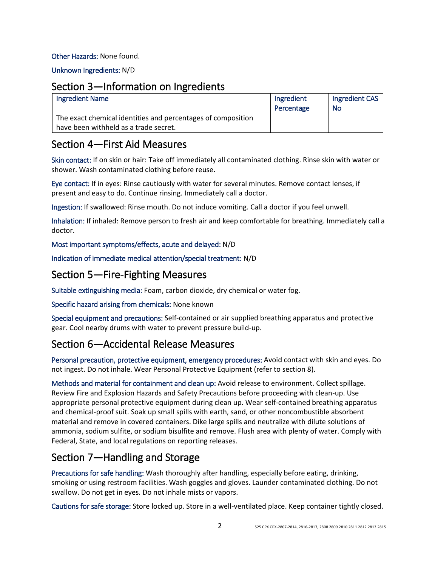#### Other Hazards: None found.

Unknown Ingredients: N/D

### Section 3—Information on Ingredients

| <b>Ingredient Name</b>                                                                                | Ingredient<br>Percentage | Ingredient CAS<br>No |
|-------------------------------------------------------------------------------------------------------|--------------------------|----------------------|
| The exact chemical identities and percentages of composition<br>have been withheld as a trade secret. |                          |                      |

### Section 4—First Aid Measures

Skin contact: If on skin or hair: Take off immediately all contaminated clothing. Rinse skin with water or shower. Wash contaminated clothing before reuse.

Eye contact: If in eyes: Rinse cautiously with water for several minutes. Remove contact lenses, if present and easy to do. Continue rinsing. Immediately call a doctor.

Ingestion: If swallowed: Rinse mouth. Do not induce vomiting. Call a doctor if you feel unwell.

Inhalation: If inhaled: Remove person to fresh air and keep comfortable for breathing. Immediately call a doctor.

Most important symptoms/effects, acute and delayed: N/D

Indication of immediate medical attention/special treatment: N/D

### Section 5—Fire-Fighting Measures

Suitable extinguishing media: Foam, carbon dioxide, dry chemical or water fog.

Specific hazard arising from chemicals: None known

Special equipment and precautions: Self-contained or air supplied breathing apparatus and protective gear. Cool nearby drums with water to prevent pressure build-up.

## Section 6—Accidental Release Measures

Personal precaution, protective equipment, emergency procedures: Avoid contact with skin and eyes. Do not ingest. Do not inhale. Wear Personal Protective Equipment (refer to section 8).

Methods and material for containment and clean up: Avoid release to environment. Collect spillage. Review Fire and Explosion Hazards and Safety Precautions before proceeding with clean-up. Use appropriate personal protective equipment during clean up. Wear self-contained breathing apparatus and chemical-proof suit. Soak up small spills with earth, sand, or other noncombustible absorbent material and remove in covered containers. Dike large spills and neutralize with dilute solutions of ammonia, sodium sulfite, or sodium bisulfite and remove. Flush area with plenty of water. Comply with Federal, State, and local regulations on reporting releases.

## Section 7—Handling and Storage

Precautions for safe handling: Wash thoroughly after handling, especially before eating, drinking, smoking or using restroom facilities. Wash goggles and gloves. Launder contaminated clothing. Do not swallow. Do not get in eyes. Do not inhale mists or vapors.

Cautions for safe storage: Store locked up. Store in a well-ventilated place. Keep container tightly closed.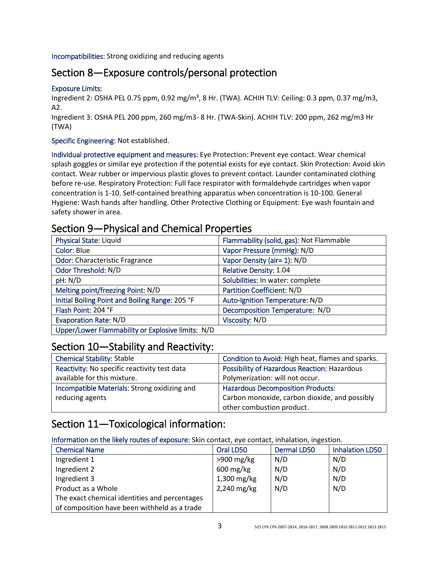Incompatibilities: Strong oxidizing and reducing agents

# Section 8—Exposure controls/personal protection

#### Exposure Limits:

Ingredient 2: OSHA PEL 0.75 ppm, 0.92 mg/m<sup>3</sup>, 8 Hr. (TWA). ACHIH TLV: Ceiling: 0.3 ppm, 0.37 mg/m3, A2.

Ingredient 3: OSHA PEL 200 ppm, 260 mg/m3- 8 Hr. (TWA-Skin). ACHIH TLV: 200 ppm, 262 mg/m3 Hr (TWA)

Specific Engineering: Not established.

Individual protective equipment and measures: Eye Protection: Prevent eye contact. Wear chemical splash goggles or similar eye protection if the potential exists for eye contact. Skin Protection: Avoid skin contact. Wear rubber or impervious plastic gloves to prevent contact. Launder contaminated clothing before re-use. Respiratory Protection: Full face respirator with formaldehyde cartridges when vapor concentration is 1-10. Self-contained breathing apparatus when concentration is 10-100. General Hygiene: Wash hands after handling. Other Protective Clothing or Equipment: Eye wash fountain and safety shower in area.

### Section 9—Physical and Chemical Properties

| <b>Physical State: Liquid</b>                     | Flammability (solid, gas): Not Flammable |
|---------------------------------------------------|------------------------------------------|
| Color: Blue                                       | Vapor Pressure (mmHg): N/D               |
| <b>Odor: Characteristic Fragrance</b>             | Vapor Density (air= 1): N/D              |
| Odor Threshold: N/D                               | <b>Relative Density: 1.04</b>            |
| pH: N/D                                           | Solubilities: In water: complete         |
| Melting point/freezing Point: N/D                 | <b>Partition Coefficient: N/D</b>        |
| Initial Boiling Point and Boiling Range: 205 °F   | Auto-Ignition Temperature: N/D           |
| Flash Point: 204 °F                               | Decomposition Temperature: N/D           |
| <b>Evaporation Rate: N/D</b>                      | Viscosity: N/D                           |
| Upper/Lower Flammability or Explosive limits: N/D |                                          |

## Section 10—Stability and Reactivity:

| <b>Chemical Stability: Stable</b>            | Condition to Avoid: High heat, flames and sparks. |
|----------------------------------------------|---------------------------------------------------|
| Reactivity: No specific reactivity test data | Possibility of Hazardous Reaction: Hazardous      |
| available for this mixture.                  | Polymerization: will not occur.                   |
| Incompatible Materials: Strong oxidizing and | <b>Hazardous Decomposition Products:</b>          |
| reducing agents                              | Carbon monoxide, carbon dioxide, and possibly     |
|                                              | other combustion product.                         |

## Section 11—Toxicological information:

Information on the likely routes of exposure: Skin contact, eye contact, inhalation, ingestion.

| <b>Chemical Name</b>                          | Oral LD50              | <b>Dermal LD50</b> | <b>Inhalation LD50</b> |
|-----------------------------------------------|------------------------|--------------------|------------------------|
| Ingredient 1                                  | $>900$ mg/kg           | N/D                | N/D                    |
| Ingredient 2                                  | $600 \,\mathrm{mg/kg}$ | N/D                | N/D                    |
| Ingredient 3                                  | 1,300 mg/kg            | N/D                | N/D                    |
| Product as a Whole                            | 2,240 mg/kg            | N/D                | N/D                    |
| The exact chemical identities and percentages |                        |                    |                        |
| of composition have been withheld as a trade  |                        |                    |                        |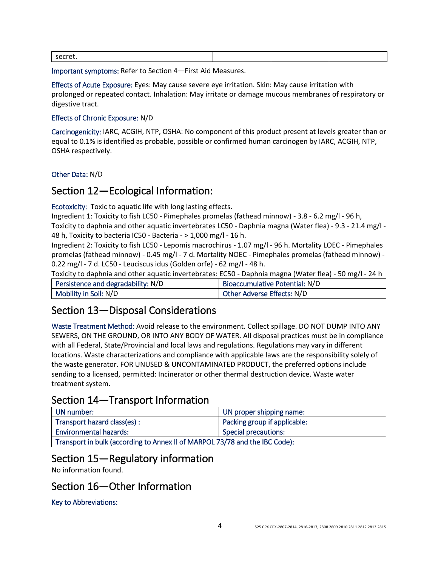| secret. |  |  |
|---------|--|--|
|         |  |  |

Important symptoms: Refer to Section 4—First Aid Measures.

Effects of Acute Exposure: Eyes: May cause severe eye irritation. Skin: May cause irritation with prolonged or repeated contact. Inhalation: May irritate or damage mucous membranes of respiratory or digestive tract.

#### Effects of Chronic Exposure: N/D

Carcinogenicity: IARC, ACGIH, NTP, OSHA: No component of this product present at levels greater than or equal to 0.1% is identified as probable, possible or confirmed human carcinogen by IARC, ACGIH, NTP, OSHA respectively.

Other Data: N/D

### Section 12—Ecological Information:

Ecotoxicity: Toxic to aquatic life with long lasting effects.

Ingredient 1: Toxicity to fish LC50 - Pimephales promelas (fathead minnow) - 3.8 - 6.2 mg/l - 96 h, Toxicity to daphnia and other aquatic invertebrates LC50 - Daphnia magna (Water flea) - 9.3 - 21.4 mg/l - 48 h, Toxicity to bacteria IC50 - Bacteria - > 1,000 mg/l - 16 h.

Ingredient 2: Toxicity to fish LC50 - Lepomis macrochirus - 1.07 mg/l - 96 h. Mortality LOEC - Pimephales promelas (fathead minnow) - 0.45 mg/l - 7 d. Mortality NOEC - Pimephales promelas (fathead minnow) - 0.22 mg/l - 7 d. LC50 - Leuciscus idus (Golden orfe) - 62 mg/l - 48 h.

Toxicity to daphnia and other aquatic invertebrates: EC50 - Daphnia magna (Water flea) - 50 mg/l - 24 h

| Persistence and degradability: N/D | Bioaccumulative Potential: N/D |
|------------------------------------|--------------------------------|
| Mobility in Soil: N/D              | Other Adverse Effects: N/D     |

## Section 13—Disposal Considerations

Waste Treatment Method: Avoid release to the environment. Collect spillage. DO NOT DUMP INTO ANY SEWERS, ON THE GROUND, OR INTO ANY BODY OF WATER. All disposal practices must be in compliance with all Federal, State/Provincial and local laws and regulations. Regulations may vary in different locations. Waste characterizations and compliance with applicable laws are the responsibility solely of the waste generator. FOR UNUSED & UNCONTAMINATED PRODUCT, the preferred options include sending to a licensed, permitted: Incinerator or other thermal destruction device. Waste water treatment system.

## Section 14—Transport Information

| UN number:                                                                  | UN proper shipping name:     |  |
|-----------------------------------------------------------------------------|------------------------------|--|
| Transport hazard class(es):                                                 | Packing group if applicable: |  |
| <b>Environmental hazards:</b>                                               | <b>Special precautions:</b>  |  |
| Transport in bulk (according to Annex II of MARPOL 73/78 and the IBC Code): |                              |  |

# Section 15—Regulatory information

No information found.

## Section 16—Other Information

Key to Abbreviations: